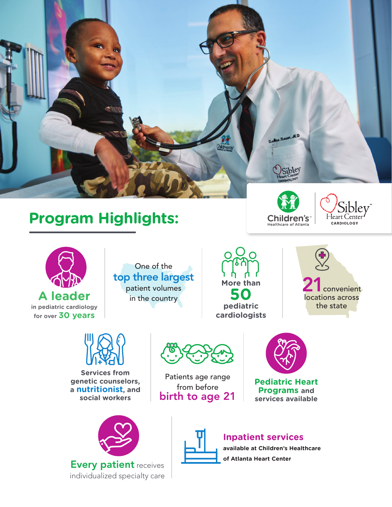

# **Program Highlights:**







One of the top three largest patient volumes in the country



convenient locations across the state



**Services from genetic counselors, a nutritionist, and social workers**



Every patient receives individualized specialty care



Patients age range from before birth to age 21



**Pediatric Heart Programs and services available**



## **Inpatient services**

**available at Children's Healthcare of Atlanta Heart Center**